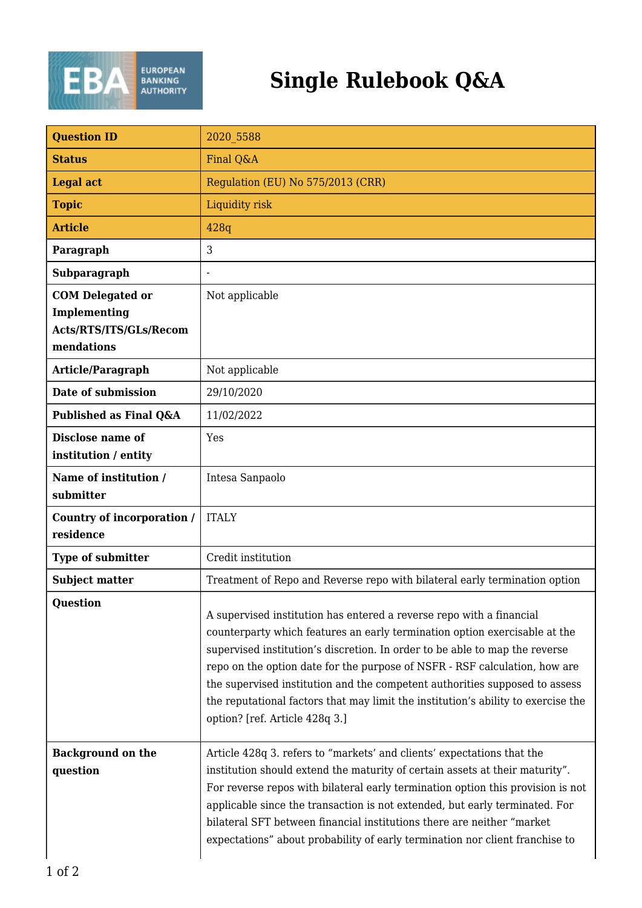

| <b>Question ID</b>                                                              | 2020 5588                                                                                                                                                                                                                                                                                                                                                                                                                                                                                                             |
|---------------------------------------------------------------------------------|-----------------------------------------------------------------------------------------------------------------------------------------------------------------------------------------------------------------------------------------------------------------------------------------------------------------------------------------------------------------------------------------------------------------------------------------------------------------------------------------------------------------------|
| <b>Status</b>                                                                   | Final Q&A                                                                                                                                                                                                                                                                                                                                                                                                                                                                                                             |
| <b>Legal act</b>                                                                | Regulation (EU) No 575/2013 (CRR)                                                                                                                                                                                                                                                                                                                                                                                                                                                                                     |
| <b>Topic</b>                                                                    | Liquidity risk                                                                                                                                                                                                                                                                                                                                                                                                                                                                                                        |
| <b>Article</b>                                                                  | 428q                                                                                                                                                                                                                                                                                                                                                                                                                                                                                                                  |
| Paragraph                                                                       | 3                                                                                                                                                                                                                                                                                                                                                                                                                                                                                                                     |
| Subparagraph                                                                    |                                                                                                                                                                                                                                                                                                                                                                                                                                                                                                                       |
| <b>COM Delegated or</b><br>Implementing<br>Acts/RTS/ITS/GLs/Recom<br>mendations | Not applicable                                                                                                                                                                                                                                                                                                                                                                                                                                                                                                        |
| Article/Paragraph                                                               | Not applicable                                                                                                                                                                                                                                                                                                                                                                                                                                                                                                        |
| Date of submission                                                              | 29/10/2020                                                                                                                                                                                                                                                                                                                                                                                                                                                                                                            |
| Published as Final Q&A                                                          | 11/02/2022                                                                                                                                                                                                                                                                                                                                                                                                                                                                                                            |
| <b>Disclose name of</b><br>institution / entity                                 | Yes                                                                                                                                                                                                                                                                                                                                                                                                                                                                                                                   |
| Name of institution /<br>submitter                                              | Intesa Sanpaolo                                                                                                                                                                                                                                                                                                                                                                                                                                                                                                       |
| Country of incorporation /<br>residence                                         | <b>ITALY</b>                                                                                                                                                                                                                                                                                                                                                                                                                                                                                                          |
| Type of submitter                                                               | Credit institution                                                                                                                                                                                                                                                                                                                                                                                                                                                                                                    |
| <b>Subject matter</b>                                                           | Treatment of Repo and Reverse repo with bilateral early termination option                                                                                                                                                                                                                                                                                                                                                                                                                                            |
| <b>Question</b>                                                                 | A supervised institution has entered a reverse repo with a financial<br>counterparty which features an early termination option exercisable at the<br>supervised institution's discretion. In order to be able to map the reverse<br>repo on the option date for the purpose of NSFR - RSF calculation, how are<br>the supervised institution and the competent authorities supposed to assess<br>the reputational factors that may limit the institution's ability to exercise the<br>option? [ref. Article 428q 3.] |
| <b>Background on the</b><br>question                                            | Article 428q 3. refers to "markets' and clients' expectations that the<br>institution should extend the maturity of certain assets at their maturity".<br>For reverse repos with bilateral early termination option this provision is not<br>applicable since the transaction is not extended, but early terminated. For<br>bilateral SFT between financial institutions there are neither "market<br>expectations" about probability of early termination nor client franchise to                                    |